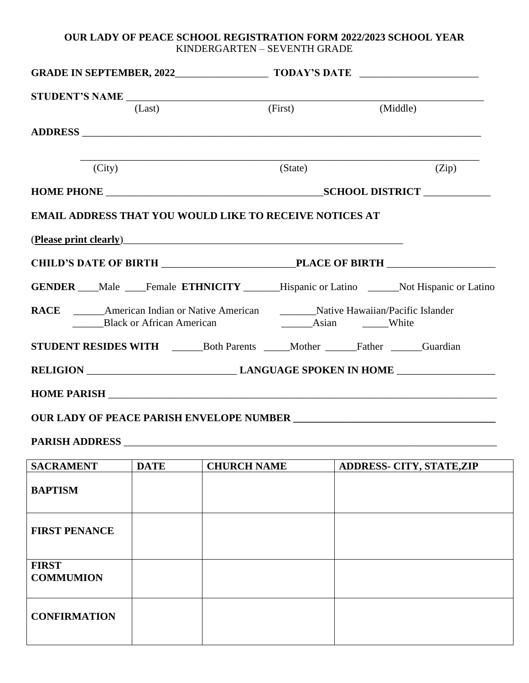## **OUR LADY OF PEACE SCHOOL REGISTRATION FORM 2022/2023 SCHOOL YEAR** KINDERGARTEN – SEVENTH GRADE

| GRADE IN SEPTEMBER, 2022 TODAY'S DATE                                                                                                                                                                                          |             |                    |                                                                                         |  |                                  |  |
|--------------------------------------------------------------------------------------------------------------------------------------------------------------------------------------------------------------------------------|-------------|--------------------|-----------------------------------------------------------------------------------------|--|----------------------------------|--|
|                                                                                                                                                                                                                                |             |                    | (First)                                                                                 |  | (Middle)                         |  |
|                                                                                                                                                                                                                                | (Last)      |                    |                                                                                         |  |                                  |  |
|                                                                                                                                                                                                                                |             |                    |                                                                                         |  |                                  |  |
| (City)                                                                                                                                                                                                                         |             |                    | (State)                                                                                 |  | (Zip)                            |  |
|                                                                                                                                                                                                                                |             |                    |                                                                                         |  |                                  |  |
| <b>EMAIL ADDRESS THAT YOU WOULD LIKE TO RECEIVE NOTICES AT</b>                                                                                                                                                                 |             |                    |                                                                                         |  |                                  |  |
| (Please print clearly) expression and the contract of the contract of the contract of the contract of the contract of the contract of the contract of the contract of the contract of the contract of the contract of the cont |             |                    |                                                                                         |  |                                  |  |
|                                                                                                                                                                                                                                |             |                    |                                                                                         |  |                                  |  |
|                                                                                                                                                                                                                                |             |                    | GENDER ___Male ___Female ETHNICITY ______Hispanic or Latino _____Not Hispanic or Latino |  |                                  |  |
| RACE _______American Indian or Native American __________Native Hawaiian/Pacific Islander<br><b>Black or African American</b>                                                                                                  |             | Asian White        |                                                                                         |  |                                  |  |
| STUDENT RESIDES WITH _________Both Parents ______Mother _______Father ______Guardian                                                                                                                                           |             |                    |                                                                                         |  |                                  |  |
|                                                                                                                                                                                                                                |             |                    |                                                                                         |  |                                  |  |
|                                                                                                                                                                                                                                |             |                    |                                                                                         |  |                                  |  |
|                                                                                                                                                                                                                                |             |                    |                                                                                         |  |                                  |  |
|                                                                                                                                                                                                                                |             |                    |                                                                                         |  |                                  |  |
| <b>SACRAMENT</b>                                                                                                                                                                                                               | <b>DATE</b> | <b>CHURCH NAME</b> |                                                                                         |  | <b>ADDRESS- CITY, STATE, ZIP</b> |  |
| <b>BAPTISM</b>                                                                                                                                                                                                                 |             |                    |                                                                                         |  |                                  |  |
| <b>FIRST PENANCE</b>                                                                                                                                                                                                           |             |                    |                                                                                         |  |                                  |  |
| <b>FIRST</b><br><b>COMMUMION</b>                                                                                                                                                                                               |             |                    |                                                                                         |  |                                  |  |
| <b>CONFIRMATION</b>                                                                                                                                                                                                            |             |                    |                                                                                         |  |                                  |  |